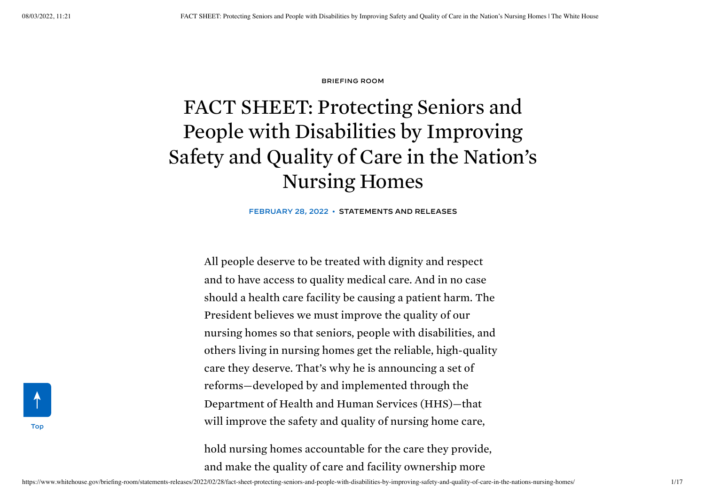#### [BRIEFING](https://www.whitehouse.gov/briefing-room/) ROOM

# <span id="page-0-0"></span>FACT SHEET: Protecting Seniors and People with Disabilities by Improving Safety and Quality of Care in the Nation's Nursing Homes

FEBRUARY 28, 2022 • [STATEMENTS](https://www.whitehouse.gov/briefing-room/statements-releases/) AND RELEASES

All people deserve to be treated with dignity and respect and to have access to quality medical care. And in no case should a health care facility be causing a patient harm. The President believes we must improve the quality of our nursing homes so that seniors, people with disabilities, and others living in nursing homes get the reliable, high-quality care they deserve. That's why he is announcing a set of reforms—developed by and implemented through the Department of Health and Human Services (HHS)—that will improve the safety and quality of nursing home care,

hold nursing homes accountable for the care they provide, and make the quality of care and facility ownership more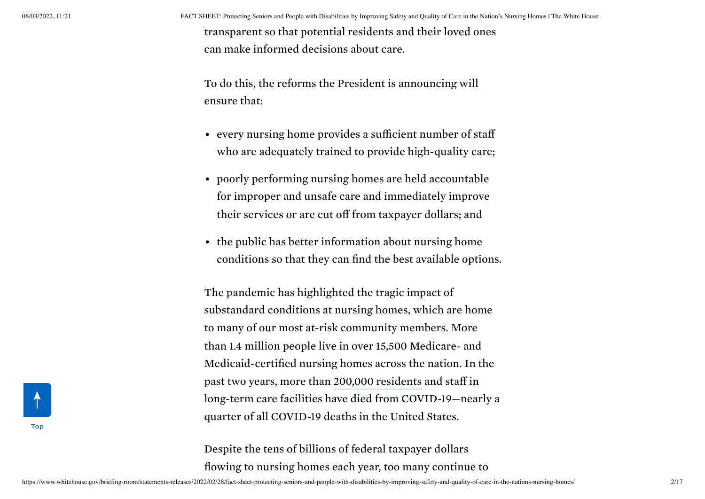08/03/2022, 11:21 FACT SHEET: Protecting Seniors and People with Disabilities by Improving Safety and Quality of Care in the Nation's Nursing Homes | The White House

transparent so that potential residents and their loved ones can make informed decisions about care.

To do this, the reforms the President is announcing will ensure that:

- every nursing home provides a sufficient number of staff who are adequately trained to provide high-quality care;
- poorly performing nursing homes are held accountable for improper and unsafe care and immediately improve their services or are cut off from taxpayer dollars; and
- the public has better information about nursing home conditions so that they can find the best available options.

The pandemic has highlighted the tragic impact of substandard conditions at nursing homes, which are home to many of our most at-risk community members. More than 1.4 million people live in over 15,500 Medicare- and Medicaid-certified nursing homes across the nation. In the past two years, more than 200,000 [residents](https://www.kff.org/policy-watch/over-200000-residents-and-staff-in-long-term-care-facilities-have-died-from-covid-19/) and staff in long-term care facilities have died from COVID-19—nearly a quarter of all COVID-19 deaths in the United States.

Despite the tens of billions of federal taxpayer dollars flowing to nursing homes each year, too many continue to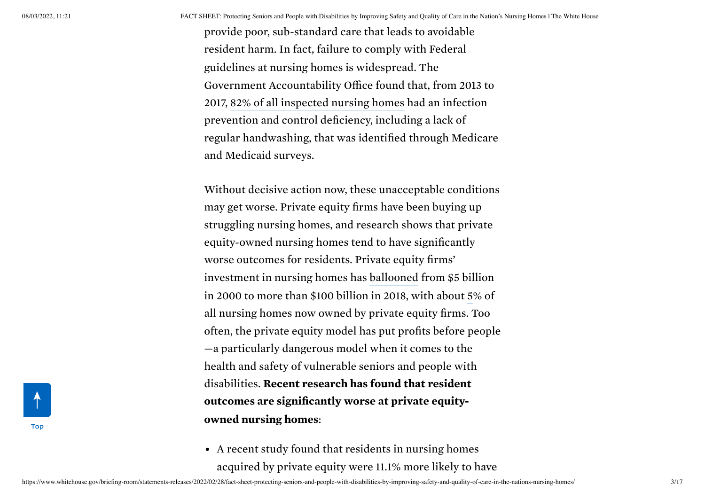08/03/2022, 11:21 FACT SHEET: Protecting Seniors and People with Disabilities by Improving Safety and Quality of Care in the Nation's Nursing Homes | The White House

provide poor, sub-standard care that leads to avoidable resident harm. In fact, failure to comply with Federal guidelines at nursing homes is widespread. The Government Accountability Office found that, from 2013 to 2017, 82% of all [inspected](https://www.gao.gov/assets/gao-20-576r.pdf) nursing homes had an infection prevention and control deficiency, including a lack of regular handwashing, that was identified through Medicare and Medicaid surveys.

Without decisive action now, these unacceptable conditions may get worse. Private equity firms have been buying up struggling nursing homes, and research shows that private equity-owned nursing homes tend to have significantly worse outcomes for residents. Private equity firms' investment in nursing homes has [ballooned](https://www.ineteconomics.org/uploads/papers/WP_118-Appelbaum-and-Batt-2-rb-Clean.pdf) from \$5 billion in 2000 to more than \$100 billion in 2018, with about [5](https://jamanetwork.com/journals/jamanetworkopen/fullarticle/2772306)% of all nursing homes now owned by private equity firms. Too often, the private equity model has put profits before people —a particularly dangerous model when it comes to the health and safety of vulnerable seniors and people with disabilities. Recent research has found that resident outcomes are significantly worse at private equityowned nursing homes:

A [recent](https://jamanetwork.com/journals/jama-health-forum/fullarticle/2786442) study found that residents in nursing homes acquired by private equity were 11.1% more likely to have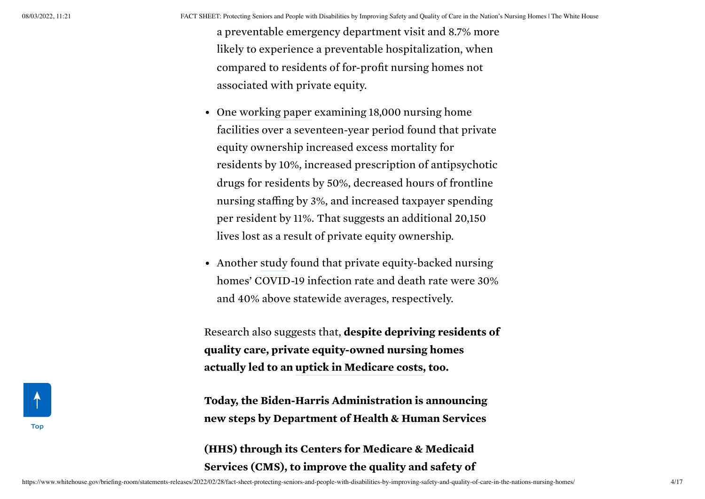a preventable emergency department visit and 8.7% more likely to experience a preventable hospitalization, when compared to residents of for-profit nursing homes not associated with private equity.

- One [working](https://www.nber.org/system/files/working_papers/w28474/w28474.pdf) paper examining 18,000 nursing home facilities over a seventeen-year period found that private equity ownership increased excess mortality for residents by 10%, increased prescription of antipsychotic drugs for residents by 50%, decreased hours of frontline nursing staffing by 3%, and increased taxpayer spending per resident by 11%. That suggests an additional 20,150 lives lost as a result of private equity ownership.
- Another [study](https://ourfinancialsecurity.org/wp-content/uploads/2020/08/AFREF-NJ-Private-Equity-Nursing-Homes-Covid.pdf) found that private equity-backed nursing homes' COVID-19 infection rate and death rate were 30% and 40% above statewide averages, respectively.

Research also suggests that, despite depriving residents of quality care, private equity-owned nursing homes actually led to an uptick in [Medicare](https://jamanetwork.com/journals/jama-health-forum/fullarticle/2786442) costs, too.

Today, the Biden-Harris Administration is announcing new steps by Department of Health & Human Services

(HHS) through its Centers for Medicare & Medicaid Services (CMS), to improve the quality and safety of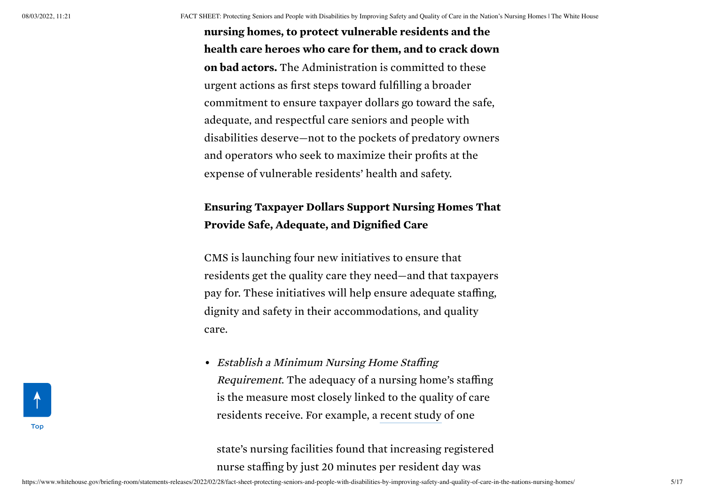nursing homes, to protect vulnerable residents and the health care heroes who care for them, and to crack down on bad actors. The Administration is committed to these urgent actions as first steps toward fulfilling a broader commitment to ensure taxpayer dollars go toward the safe, adequate, and respectful care seniors and people with disabilities deserve—not to the pockets of predatory owners and operators who seek to maximize their profits at the expense of vulnerable residents' health and safety.

## Ensuring Taxpayer Dollars Support Nursing Homes That Provide Safe, Adequate, and Dignified Care

CMS is launching four new initiatives to ensure that residents get the quality care they need—and that taxpayers pay for. These initiatives will help ensure adequate staffing, dignity and safety in their accommodations, and quality care.

• Establish a Minimum Nursing Home Staffing Requirement. The adequacy of a nursing home's staffing is the measure most closely linked to the quality of care residents receive. For example, a [recent](https://agsjournals.onlinelibrary.wiley.com/doi/epdf/10.1111/jgs.16689) study of one

state's nursing facilities found that increasing registered nurse staffing by just 20 minutes per resident day was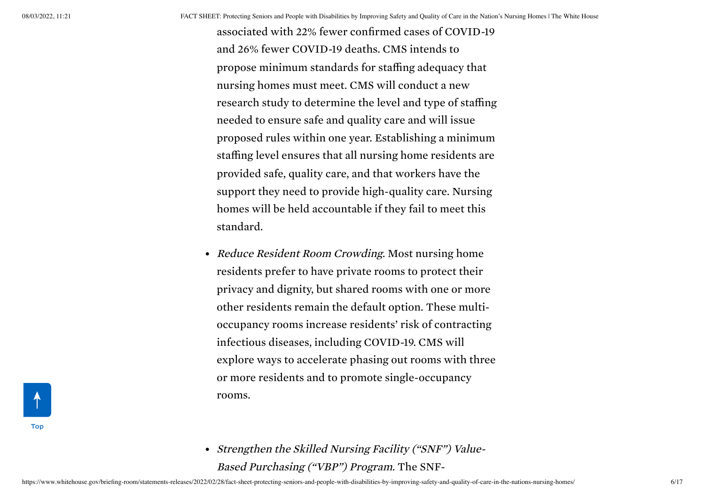associated with 22% fewer confirmed cases of COVID-19 and 26% fewer COVID-19 deaths. CMS intends to propose minimum standards for staffing adequacy that nursing homes must meet. CMS will conduct a new research study to determine the level and type of staffing needed to ensure safe and quality care and will issue proposed rules within one year. Establishing a minimum staffing level ensures that all nursing home residents are provided safe, quality care, and that workers have the support they need to provide high-quality care. Nursing homes will be held accountable if they fail to meet this standard.

- Reduce Resident Room Crowding. Most nursing home residents prefer to have private rooms to protect their privacy and dignity, but shared rooms with one or more other residents remain the default option. These multioccupancy rooms increase residents' risk of contracting infectious diseases, including COVID-19. CMS will explore ways to accelerate phasing out rooms with three or more residents and to promote single-occupancy rooms.
- Strengthen the Skilled Nursing Facility ("SNF") Value-Based Purchasing ("VBP") Program. The SNF-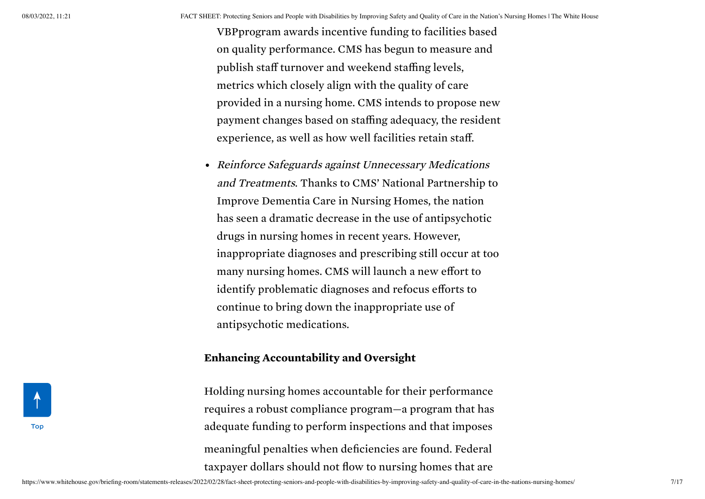08/03/2022, 11:21 FACT SHEET: Protecting Seniors and People with Disabilities by Improving Safety and Quality of Care in the Nation's Nursing Homes | The White House

VBPprogram awards incentive funding to facilities based on quality performance. CMS has begun to measure and publish staff turnover and weekend staffing levels, metrics which closely align with the quality of care provided in a nursing home. CMS intends to propose new payment changes based on staffing adequacy, the resident experience, as well as how well facilities retain staff.

Reinforce Safeguards against Unnecessary Medications and Treatments. Thanks to CMS' National Partnership to Improve Dementia Care in Nursing Homes, the nation has seen a dramatic decrease in the use of antipsychotic drugs in nursing homes in recent years. However, inappropriate diagnoses and prescribing still occur at too many nursing homes. CMS will launch a new effort to identify problematic diagnoses and refocus efforts to continue to bring down the inappropriate use of antipsychotic medications.

#### Enhancing Accountability and Oversight

Holding nursing homes accountable for their performance requires a robust compliance program—a program that has adequate funding to perform inspections and that imposes meaningful penalties when deficiencies are found. Federal taxpayer dollars should not flow to nursing homes that are

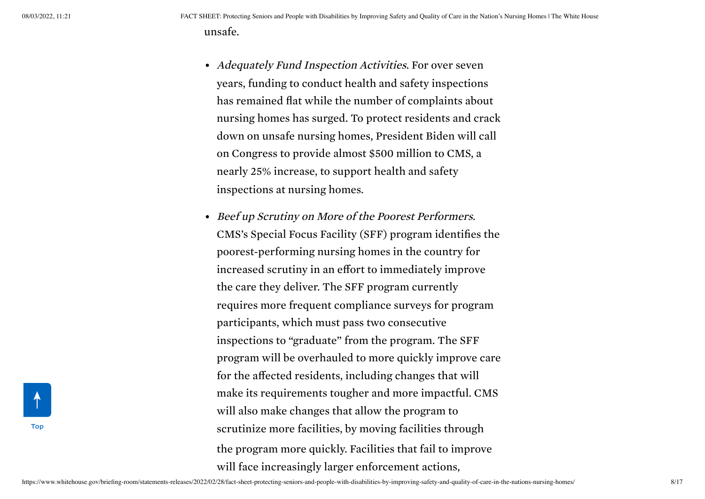- Adequately Fund Inspection Activities. For over seven years, funding to conduct health and safety inspections has remained flat while the number of complaints about nursing homes has surged. To protect residents and crack down on unsafe nursing homes, President Biden will call on Congress to provide almost \$500 million to CMS, a nearly 25% increase, to support health and safety inspections at nursing homes.
- Beef up Scrutiny on More of the Poorest Performers. CMS's Special Focus Facility (SFF) program identifies the poorest-performing nursing homes in the country for increased scrutiny in an effort to immediately improve the care they deliver. The SFF program currently requires more frequent compliance surveys for program participants, which must pass two consecutive inspections to "graduate" from the program. The SFF program will be overhauled to more quickly improve care for the affected residents, including changes that will make its requirements tougher and more impactful. CMS will also make changes that allow the program to scrutinize more facilities, by moving facilities through the program more quickly. Facilities that fail to improve will face increasingly larger enforcement actions,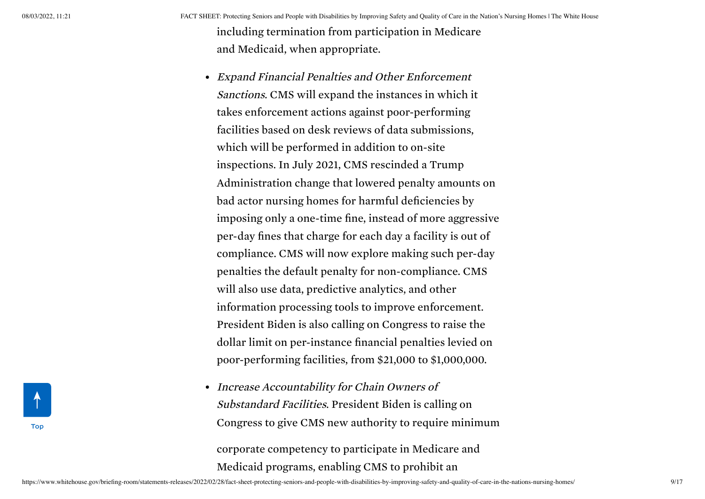08/03/2022, 11:21 FACT SHEET: Protecting Seniors and People with Disabilities by Improving Safety and Quality of Care in the Nation's Nursing Homes | The White House including termination from participation in Medicare and Medicaid, when appropriate.

- Expand Financial Penalties and Other Enforcement Sanctions. CMS will expand the instances in which it takes enforcement actions against poor-performing facilities based on desk reviews of data submissions, which will be performed in addition to on-site inspections. In July 2021, CMS rescinded a Trump Administration change that lowered penalty amounts on bad actor nursing homes for harmful deficiencies by imposing only a one-time fine, instead of more aggressive per-day fines that charge for each day a facility is out of compliance. CMS will now explore making such per-day penalties the default penalty for non-compliance. CMS will also use data, predictive analytics, and other information processing tools to improve enforcement. President Biden is also calling on Congress to raise the dollar limit on per-instance financial penalties levied on poor-performing facilities, from \$21,000 to \$1,000,000.
- Increase Accountability for Chain Owners of Substandard Facilities. President Biden is calling on Congress to give CMS new authority to require minimum

corporate competency to participate in Medicare and Medicaid programs, enabling CMS to prohibit an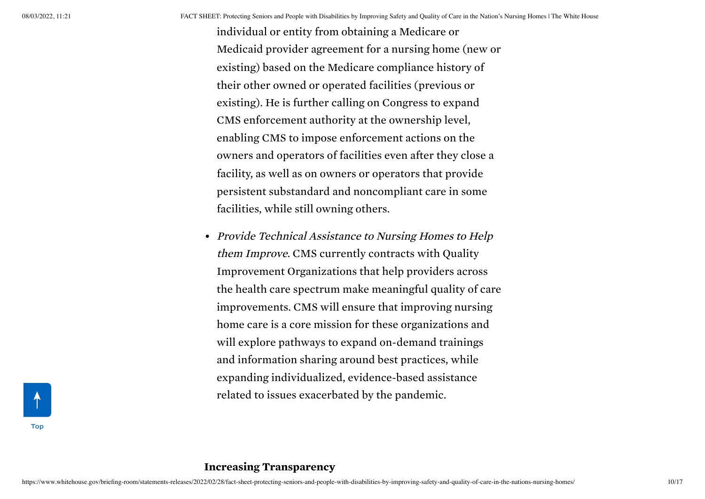individual or entity from obtaining a Medicare or Medicaid provider agreement for a nursing home (new or existing) based on the Medicare compliance history of their other owned or operated facilities (previous or existing). He is further calling on Congress to expand CMS enforcement authority at the ownership level, enabling CMS to impose enforcement actions on the owners and operators of facilities even after they close a facility, as well as on owners or operators that provide persistent substandard and noncompliant care in some facilities, while still owning others.

• Provide Technical Assistance to Nursing Homes to Help them Improve. CMS currently contracts with Quality Improvement Organizations that help providers across the health care spectrum make meaningful quality of care improvements. CMS will ensure that improving nursing home care is a core mission for these organizations and will explore pathways to expand on-demand trainings and information sharing around best practices, while expanding individualized, evidence-based assistance related to issues exacerbated by the pandemic.

[Top](#page-0-0)

### Increasing Transparency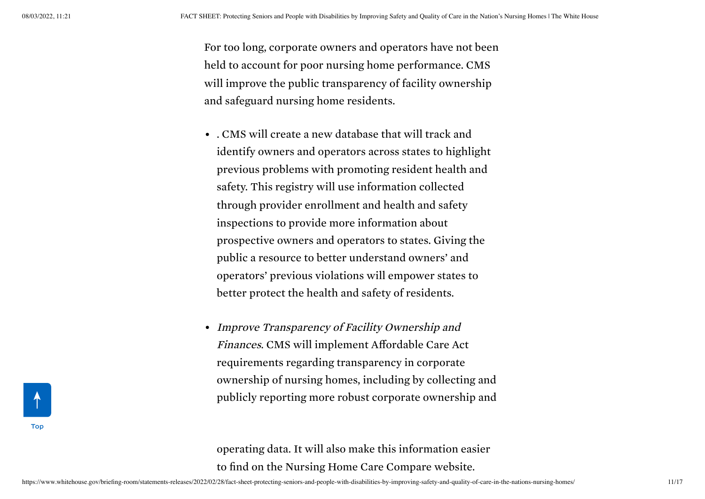For too long, corporate owners and operators have not been held to account for poor nursing home performance. CMS will improve the public transparency of facility ownership and safeguard nursing home residents.

- . CMS will create a new database that will track and identify owners and operators across states to highlight previous problems with promoting resident health and safety. This registry will use information collected through provider enrollment and health and safety inspections to provide more information about prospective owners and operators to states. Giving the public a resource to better understand owners' and operators' previous violations will empower states to better protect the health and safety of residents.
- Improve Transparency of Facility Ownership and Finances. CMS will implement Affordable Care Act requirements regarding transparency in corporate ownership of nursing homes, including by collecting and publicly reporting more robust corporate ownership and

operating data. It will also make this information easier to find on the Nursing Home Care Compare website.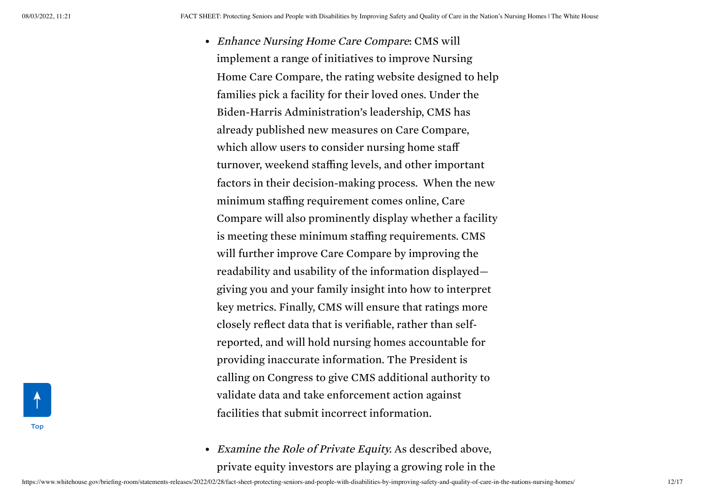- Enhance Nursing Home Care Compare: CMS will implement a range of initiatives to improve Nursing Home Care Compare, the rating website designed to help families pick a facility for their loved ones. Under the Biden-Harris Administration's leadership, CMS has already published new measures on Care Compare, which allow users to consider nursing home staff turnover, weekend staffing levels, and other important factors in their decision-making process. When the new minimum staffing requirement comes online, Care Compare will also prominently display whether a facility is meeting these minimum staffing requirements. CMS will further improve Care Compare by improving the readability and usability of the information displayed giving you and your family insight into how to interpret key metrics. Finally, CMS will ensure that ratings more closely reflect data that is verifiable, rather than selfreported, and will hold nursing homes accountable for providing inaccurate information. The President is calling on Congress to give CMS additional authority to validate data and take enforcement action against facilities that submit incorrect information.
- Examine the Role of Private Equity. As described above, private equity investors are playing a growing role in the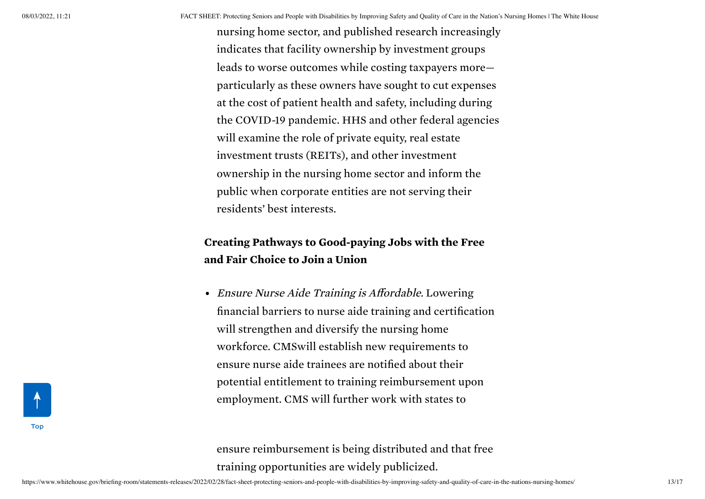nursing home sector, and published research increasingly indicates that facility ownership by investment groups leads to worse outcomes while costing taxpayers more particularly as these owners have sought to cut expenses at the cost of patient health and safety, including during the COVID-19 pandemic. HHS and other federal agencies will examine the role of private equity, real estate investment trusts (REITs), and other investment ownership in the nursing home sector and inform the public when corporate entities are not serving their residents' best interests.

## Creating Pathways to Good-paying Jobs with the Free and Fair Choice to Join a Union

Ensure Nurse Aide Training is Affordable. Lowering financial barriers to nurse aide training and certification will strengthen and diversify the nursing home workforce. CMSwill establish new requirements to ensure nurse aide trainees are notified about their potential entitlement to training reimbursement upon employment. CMS will further work with states to

ensure reimbursement is being distributed and that free training opportunities are widely publicized.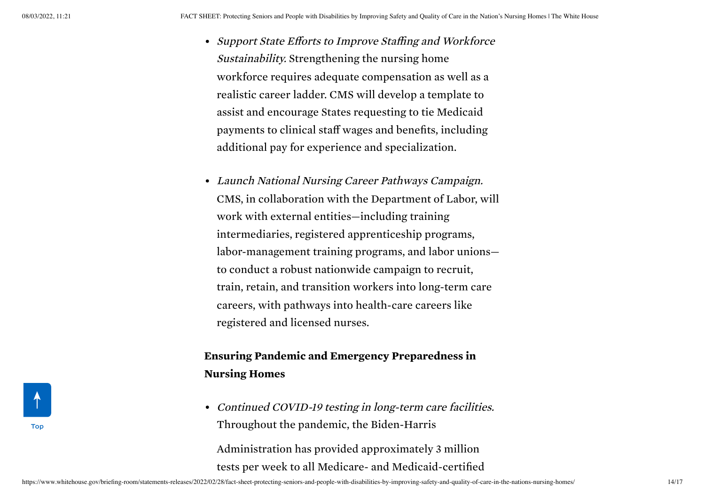- Support State Efforts to Improve Staffing and Workforce Sustainability. Strengthening the nursing home workforce requires adequate compensation as well as a realistic career ladder. CMS will develop a template to assist and encourage States requesting to tie Medicaid payments to clinical staff wages and benefits, including additional pay for experience and specialization.
- Launch National Nursing Career Pathways Campaign. CMS, in collaboration with the Department of Labor, will work with external entities—including training intermediaries, registered apprenticeship programs, labor-management training programs, and labor unions to conduct a robust nationwide campaign to recruit, train, retain, and transition workers into long-term care careers, with pathways into health-care careers like registered and licensed nurses.

## Ensuring Pandemic and Emergency Preparedness in Nursing Homes

• Continued COVID-19 testing in long-term care facilities. Throughout the pandemic, the Biden-Harris Administration has provided approximately 3 million tests per week to all Medicare- and Medicaid-certified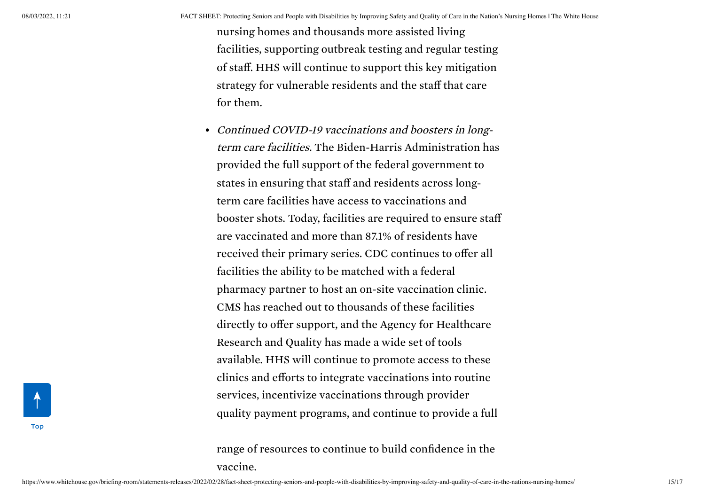nursing homes and thousands more assisted living facilities, supporting outbreak testing and regular testing of staff. HHS will continue to support this key mitigation strategy for vulnerable residents and the staff that care for them.

• Continued COVID-19 vaccinations and boosters in longterm care facilities. The Biden-Harris Administration has provided the full support of the federal government to states in ensuring that staff and residents across longterm care facilities have access to vaccinations and booster shots. Today, facilities are required to ensure staff are vaccinated and more than 87.1% of residents have received their primary series. CDC continues to offer all facilities the ability to be matched with a federal pharmacy partner to host an on-site vaccination clinic. CMS has reached out to thousands of these facilities directly to offer support, and the Agency for Healthcare Research and Quality has made a wide set of tools available. HHS will continue to promote access to these clinics and efforts to integrate vaccinations into routine services, incentivize vaccinations through provider quality payment programs, and continue to provide a full

range of resources to continue to build confidence in the vaccine.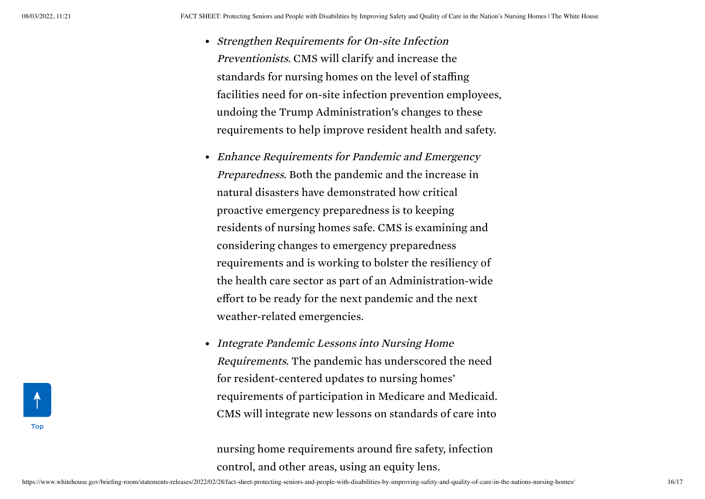- Strengthen Requirements for On-site Infection Preventionists. CMS will clarify and increase the standards for nursing homes on the level of staffing facilities need for on-site infection prevention employees, undoing the Trump Administration's changes to these requirements to help improve resident health and safety.
- Enhance Requirements for Pandemic and Emergency Preparedness. Both the pandemic and the increase in natural disasters have demonstrated how critical proactive emergency preparedness is to keeping residents of nursing homes safe. CMS is examining and considering changes to emergency preparedness requirements and is working to bolster the resiliency of the health care sector as part of an Administration-wide effort to be ready for the next pandemic and the next weather-related emergencies.
- Integrate Pandemic Lessons into Nursing Home Requirements. The pandemic has underscored the need for resident-centered updates to nursing homes' requirements of participation in Medicare and Medicaid. CMS will integrate new lessons on standards of care into

nursing home requirements around fire safety, infection control, and other areas, using an equity lens.